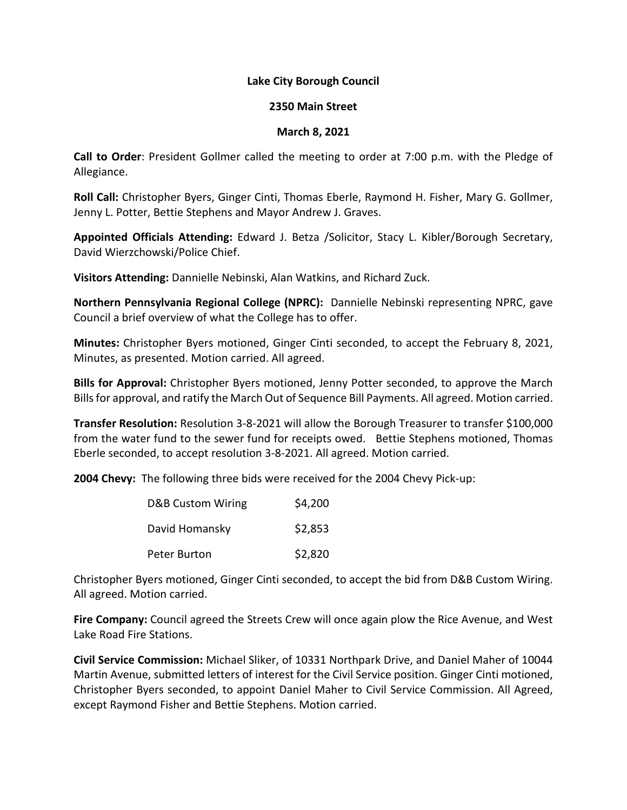## **Lake City Borough Council**

## **2350 Main Street**

## **March 8, 2021**

**Call to Order**: President Gollmer called the meeting to order at 7:00 p.m. with the Pledge of Allegiance.

**Roll Call:** Christopher Byers, Ginger Cinti, Thomas Eberle, Raymond H. Fisher, Mary G. Gollmer, Jenny L. Potter, Bettie Stephens and Mayor Andrew J. Graves.

**Appointed Officials Attending:** Edward J. Betza /Solicitor, Stacy L. Kibler/Borough Secretary, David Wierzchowski/Police Chief.

**Visitors Attending:** Dannielle Nebinski, Alan Watkins, and Richard Zuck.

**Northern Pennsylvania Regional College (NPRC):** Dannielle Nebinski representing NPRC, gave Council a brief overview of what the College has to offer.

**Minutes:** Christopher Byers motioned, Ginger Cinti seconded, to accept the February 8, 2021, Minutes, as presented. Motion carried. All agreed.

**Bills for Approval:** Christopher Byers motioned, Jenny Potter seconded, to approve the March Billsfor approval, and ratify the March Out of Sequence Bill Payments. All agreed. Motion carried.

**Transfer Resolution:** Resolution 3-8-2021 will allow the Borough Treasurer to transfer \$100,000 from the water fund to the sewer fund for receipts owed. Bettie Stephens motioned, Thomas Eberle seconded, to accept resolution 3-8-2021. All agreed. Motion carried.

**2004 Chevy:** The following three bids were received for the 2004 Chevy Pick-up:

| D&B Custom Wiring | \$4,200 |
|-------------------|---------|
| David Homansky    | \$2,853 |
| Peter Burton      | \$2,820 |

Christopher Byers motioned, Ginger Cinti seconded, to accept the bid from D&B Custom Wiring. All agreed. Motion carried.

**Fire Company:** Council agreed the Streets Crew will once again plow the Rice Avenue, and West Lake Road Fire Stations.

**Civil Service Commission:** Michael Sliker, of 10331 Northpark Drive, and Daniel Maher of 10044 Martin Avenue, submitted letters of interest for the Civil Service position. Ginger Cinti motioned, Christopher Byers seconded, to appoint Daniel Maher to Civil Service Commission. All Agreed, except Raymond Fisher and Bettie Stephens. Motion carried.